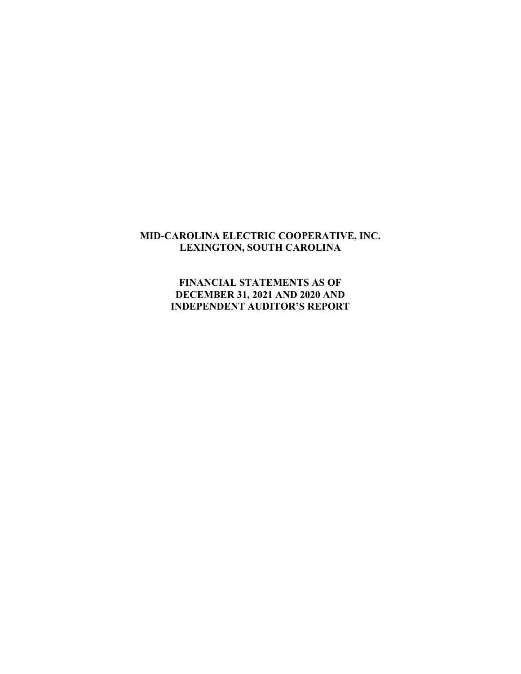## **MID-CAROLINA ELECTRIC COOPERATIVE, INC. LEXINGTON, SOUTH CAROLINA**

**FINANCIAL STATEMENTS AS OF DECEMBER 31, 2021 AND 2020 AND INDEPENDENT AUDITOR'S REPORT**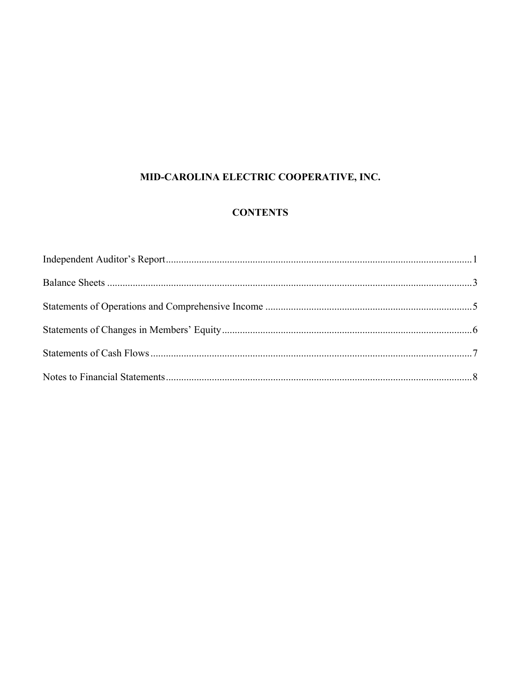# MID-CAROLINA ELECTRIC COOPERATIVE, INC.

# **CONTENTS**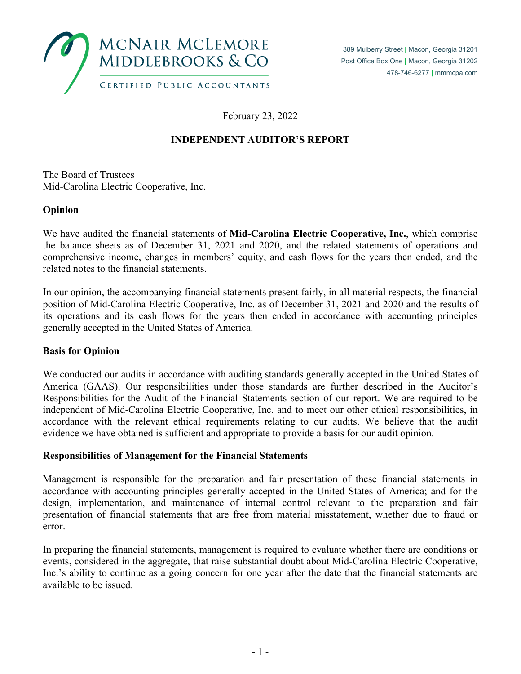

February 23, 2022

# **INDEPENDENT AUDITOR'S REPORT**

The Board of Trustees Mid-Carolina Electric Cooperative, Inc.

## **Opinion**

We have audited the financial statements of **Mid-Carolina Electric Cooperative, Inc.**, which comprise the balance sheets as of December 31, 2021 and 2020, and the related statements of operations and comprehensive income, changes in members' equity, and cash flows for the years then ended, and the related notes to the financial statements.

In our opinion, the accompanying financial statements present fairly, in all material respects, the financial position of Mid-Carolina Electric Cooperative, Inc. as of December 31, 2021 and 2020 and the results of its operations and its cash flows for the years then ended in accordance with accounting principles generally accepted in the United States of America.

## **Basis for Opinion**

We conducted our audits in accordance with auditing standards generally accepted in the United States of America (GAAS). Our responsibilities under those standards are further described in the Auditor's Responsibilities for the Audit of the Financial Statements section of our report. We are required to be independent of Mid-Carolina Electric Cooperative, Inc. and to meet our other ethical responsibilities, in accordance with the relevant ethical requirements relating to our audits. We believe that the audit evidence we have obtained is sufficient and appropriate to provide a basis for our audit opinion.

## **Responsibilities of Management for the Financial Statements**

Management is responsible for the preparation and fair presentation of these financial statements in accordance with accounting principles generally accepted in the United States of America; and for the design, implementation, and maintenance of internal control relevant to the preparation and fair presentation of financial statements that are free from material misstatement, whether due to fraud or error.

In preparing the financial statements, management is required to evaluate whether there are conditions or events, considered in the aggregate, that raise substantial doubt about Mid-Carolina Electric Cooperative, Inc.'s ability to continue as a going concern for one year after the date that the financial statements are available to be issued.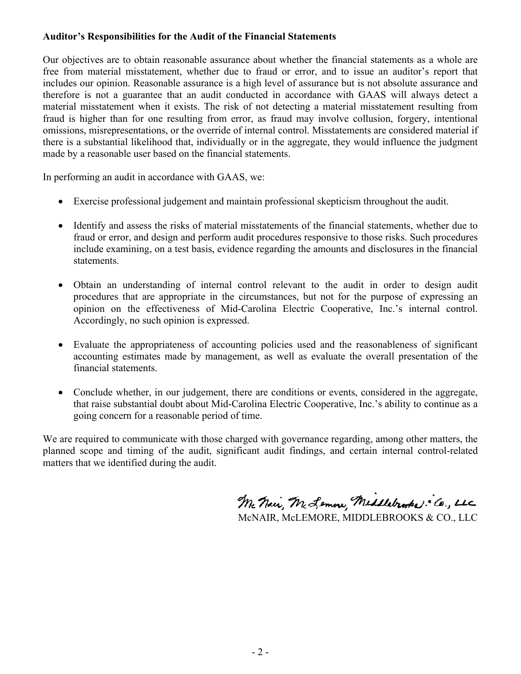#### **Auditor's Responsibilities for the Audit of the Financial Statements**

Our objectives are to obtain reasonable assurance about whether the financial statements as a whole are free from material misstatement, whether due to fraud or error, and to issue an auditor's report that includes our opinion. Reasonable assurance is a high level of assurance but is not absolute assurance and therefore is not a guarantee that an audit conducted in accordance with GAAS will always detect a material misstatement when it exists. The risk of not detecting a material misstatement resulting from fraud is higher than for one resulting from error, as fraud may involve collusion, forgery, intentional omissions, misrepresentations, or the override of internal control. Misstatements are considered material if there is a substantial likelihood that, individually or in the aggregate, they would influence the judgment made by a reasonable user based on the financial statements.

In performing an audit in accordance with GAAS, we:

- Exercise professional judgement and maintain professional skepticism throughout the audit.
- Identify and assess the risks of material misstatements of the financial statements, whether due to fraud or error, and design and perform audit procedures responsive to those risks. Such procedures include examining, on a test basis, evidence regarding the amounts and disclosures in the financial statements.
- Obtain an understanding of internal control relevant to the audit in order to design audit procedures that are appropriate in the circumstances, but not for the purpose of expressing an opinion on the effectiveness of Mid-Carolina Electric Cooperative, Inc.'s internal control. Accordingly, no such opinion is expressed.
- Evaluate the appropriateness of accounting policies used and the reasonableness of significant accounting estimates made by management, as well as evaluate the overall presentation of the financial statements.
- Conclude whether, in our judgement, there are conditions or events, considered in the aggregate, that raise substantial doubt about Mid-Carolina Electric Cooperative, Inc.'s ability to continue as a going concern for a reasonable period of time.

We are required to communicate with those charged with governance regarding, among other matters, the planned scope and timing of the audit, significant audit findings, and certain internal control-related matters that we identified during the audit.

Mc Nair, Mc Lemon, Middlebrooks: Co., LLC McNAIR, McLEMORE, MIDDLEBROOKS & CO., LLC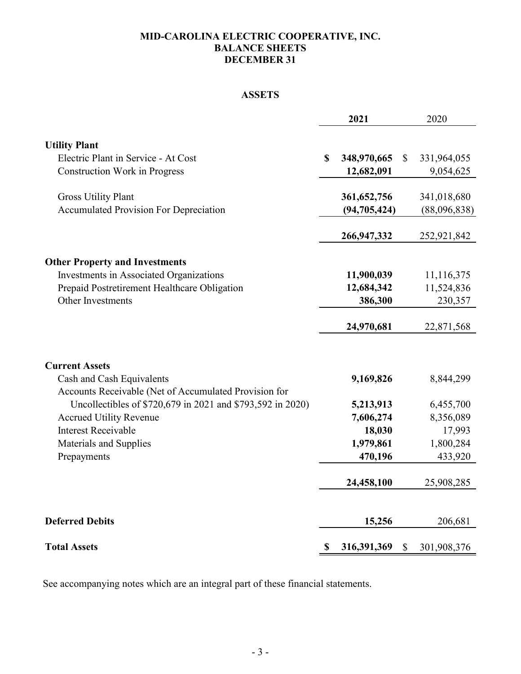#### **MID-CAROLINA ELECTRIC COOPERATIVE, INC. BALANCE SHEETS DECEMBER 31**

## **ASSETS**

|                                                                                    | 2021              |              | 2020         |
|------------------------------------------------------------------------------------|-------------------|--------------|--------------|
|                                                                                    |                   |              |              |
| <b>Utility Plant</b><br>Electric Plant in Service - At Cost                        | \$<br>348,970,665 | $\mathbb{S}$ |              |
|                                                                                    |                   |              | 331,964,055  |
| <b>Construction Work in Progress</b>                                               | 12,682,091        |              | 9,054,625    |
| <b>Gross Utility Plant</b>                                                         | 361, 652, 756     |              | 341,018,680  |
| <b>Accumulated Provision For Depreciation</b>                                      | (94, 705, 424)    |              | (88,096,838) |
|                                                                                    | 266,947,332       |              | 252,921,842  |
| <b>Other Property and Investments</b>                                              |                   |              |              |
| Investments in Associated Organizations                                            | 11,900,039        |              | 11,116,375   |
| Prepaid Postretirement Healthcare Obligation                                       | 12,684,342        |              | 11,524,836   |
| Other Investments                                                                  | 386,300           |              | 230,357      |
|                                                                                    | 24,970,681        |              | 22,871,568   |
| <b>Current Assets</b>                                                              |                   |              |              |
| Cash and Cash Equivalents<br>Accounts Receivable (Net of Accumulated Provision for | 9,169,826         |              | 8,844,299    |
| Uncollectibles of \$720,679 in 2021 and \$793,592 in 2020)                         | 5,213,913         |              | 6,455,700    |
| <b>Accrued Utility Revenue</b>                                                     | 7,606,274         |              | 8,356,089    |
| <b>Interest Receivable</b>                                                         | 18,030            |              | 17,993       |
| Materials and Supplies                                                             | 1,979,861         |              | 1,800,284    |
| Prepayments                                                                        | 470,196           |              | 433,920      |
|                                                                                    | 24,458,100        |              | 25,908,285   |
| <b>Deferred Debits</b>                                                             | 15,256            |              | 206,681      |
| <b>Total Assets</b>                                                                | \$<br>316,391,369 | $\mathbb{S}$ | 301,908,376  |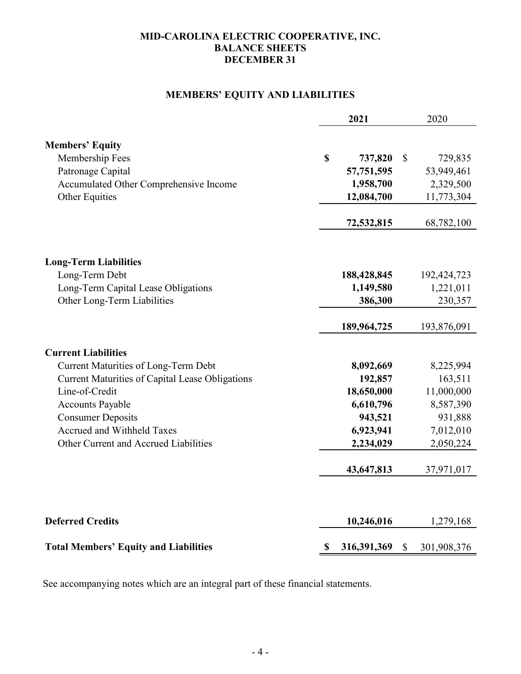## **MID-CAROLINA ELECTRIC COOPERATIVE, INC. BALANCE SHEETS DECEMBER 31**

## **MEMBERS' EQUITY AND LIABILITIES**

|                                                        | 2021              |                           | 2020        |
|--------------------------------------------------------|-------------------|---------------------------|-------------|
| <b>Members' Equity</b>                                 |                   |                           |             |
| Membership Fees                                        | \$                | $\boldsymbol{\mathsf{S}}$ |             |
|                                                        | 737,820           |                           | 729,835     |
| Patronage Capital                                      | 57,751,595        |                           | 53,949,461  |
| Accumulated Other Comprehensive Income                 | 1,958,700         |                           | 2,329,500   |
| Other Equities                                         | 12,084,700        |                           | 11,773,304  |
|                                                        | 72,532,815        |                           | 68,782,100  |
| <b>Long-Term Liabilities</b>                           |                   |                           |             |
| Long-Term Debt                                         | 188,428,845       |                           | 192,424,723 |
| Long-Term Capital Lease Obligations                    | 1,149,580         |                           | 1,221,011   |
| Other Long-Term Liabilities                            | 386,300           |                           | 230,357     |
|                                                        |                   |                           |             |
|                                                        | 189,964,725       |                           | 193,876,091 |
| <b>Current Liabilities</b>                             |                   |                           |             |
| <b>Current Maturities of Long-Term Debt</b>            | 8,092,669         |                           | 8,225,994   |
| <b>Current Maturities of Capital Lease Obligations</b> | 192,857           |                           | 163,511     |
| Line-of-Credit                                         | 18,650,000        |                           | 11,000,000  |
| <b>Accounts Payable</b>                                | 6,610,796         |                           | 8,587,390   |
| <b>Consumer Deposits</b>                               | 943,521           |                           | 931,888     |
| Accrued and Withheld Taxes                             | 6,923,941         |                           | 7,012,010   |
| Other Current and Accrued Liabilities                  | 2,234,029         |                           | 2,050,224   |
|                                                        |                   |                           |             |
|                                                        | 43,647,813        |                           | 37,971,017  |
|                                                        |                   |                           |             |
| <b>Deferred Credits</b>                                | 10,246,016        |                           | 1,279,168   |
| <b>Total Members' Equity and Liabilities</b>           | \$<br>316,391,369 | $\mathbb{S}$              | 301,908,376 |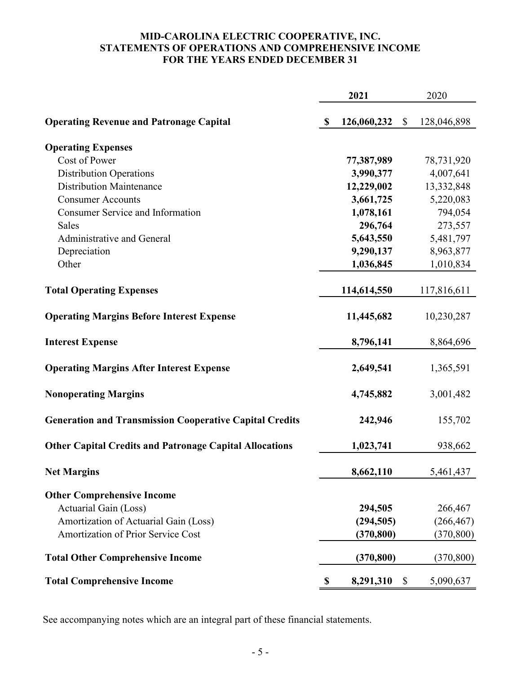#### **MID-CAROLINA ELECTRIC COOPERATIVE, INC. STATEMENTS OF OPERATIONS AND COMPREHENSIVE INCOME FOR THE YEARS ENDED DECEMBER 31**

|                                                                |               | 2021        |              | 2020        |
|----------------------------------------------------------------|---------------|-------------|--------------|-------------|
| <b>Operating Revenue and Patronage Capital</b>                 | $\mathbf{\$}$ | 126,060,232 | $\mathbb{S}$ | 128,046,898 |
| <b>Operating Expenses</b>                                      |               |             |              |             |
| Cost of Power                                                  |               | 77,387,989  |              | 78,731,920  |
| <b>Distribution Operations</b>                                 |               | 3,990,377   |              | 4,007,641   |
| <b>Distribution Maintenance</b>                                |               | 12,229,002  |              | 13,332,848  |
| <b>Consumer Accounts</b>                                       |               | 3,661,725   |              | 5,220,083   |
| <b>Consumer Service and Information</b>                        |               | 1,078,161   |              | 794,054     |
| <b>Sales</b>                                                   |               | 296,764     |              | 273,557     |
| Administrative and General                                     |               | 5,643,550   |              | 5,481,797   |
| Depreciation                                                   |               | 9,290,137   |              | 8,963,877   |
| Other                                                          |               | 1,036,845   |              | 1,010,834   |
| <b>Total Operating Expenses</b>                                |               | 114,614,550 |              | 117,816,611 |
| <b>Operating Margins Before Interest Expense</b>               |               | 11,445,682  |              | 10,230,287  |
| <b>Interest Expense</b>                                        |               | 8,796,141   |              | 8,864,696   |
| <b>Operating Margins After Interest Expense</b>                |               | 2,649,541   |              | 1,365,591   |
| <b>Nonoperating Margins</b>                                    |               | 4,745,882   |              | 3,001,482   |
| <b>Generation and Transmission Cooperative Capital Credits</b> |               | 242,946     |              | 155,702     |
| <b>Other Capital Credits and Patronage Capital Allocations</b> |               | 1,023,741   |              | 938,662     |
| <b>Net Margins</b>                                             |               | 8,662,110   |              | 5,461,437   |
| <b>Other Comprehensive Income</b>                              |               |             |              |             |
| Actuarial Gain (Loss)                                          |               | 294,505     |              | 266,467     |
| Amortization of Actuarial Gain (Loss)                          |               | (294, 505)  |              | (266, 467)  |
| <b>Amortization of Prior Service Cost</b>                      |               | (370, 800)  |              | (370, 800)  |
| <b>Total Other Comprehensive Income</b>                        |               | (370, 800)  |              | (370, 800)  |
| <b>Total Comprehensive Income</b>                              | \$            | 8,291,310   | $\mathbb{S}$ | 5,090,637   |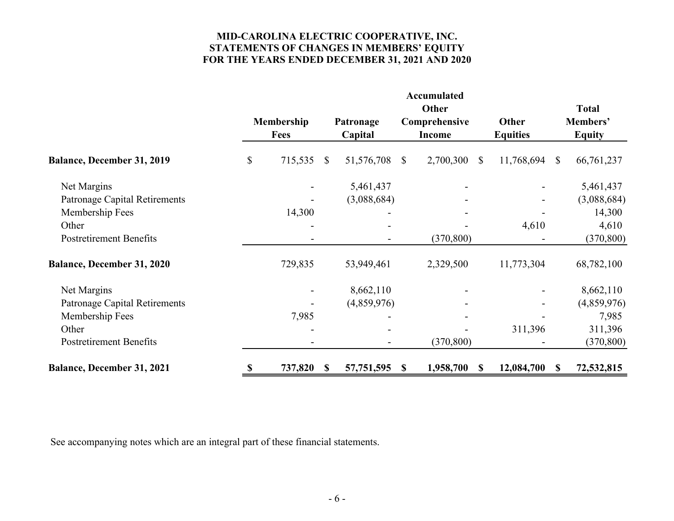## **MID-CAROLINA ELECTRIC COOPERATIVE, INC. STATEMENTS OF CHANGES IN MEMBERS' EQUITY FOR THE YEARS ENDED DECEMBER 31, 2021 AND 2020**

|                                      |                           | Membership<br><b>Fees</b> |               | Patronage<br>Capital |               | <b>Accumulated</b><br>Other<br>Comprehensive<br><b>Income</b> | Other<br><b>Equities</b>   |              | <b>Total</b><br>Members'<br><b>Equity</b> |
|--------------------------------------|---------------------------|---------------------------|---------------|----------------------|---------------|---------------------------------------------------------------|----------------------------|--------------|-------------------------------------------|
| <b>Balance, December 31, 2019</b>    | $\boldsymbol{\mathsf{S}}$ | 715,535                   | $\mathbb{S}$  | 51,576,708           | $\mathbb{S}$  | 2,700,300                                                     | 11,768,694<br>$\mathbb{S}$ | $\mathbb{S}$ | 66,761,237                                |
| Net Margins                          |                           |                           |               | 5,461,437            |               |                                                               |                            |              | 5,461,437                                 |
| <b>Patronage Capital Retirements</b> |                           |                           |               | (3,088,684)          |               |                                                               |                            |              | (3,088,684)                               |
| Membership Fees                      |                           | 14,300                    |               |                      |               |                                                               |                            |              | 14,300                                    |
| Other                                |                           |                           |               |                      |               |                                                               | 4,610                      |              | 4,610                                     |
| <b>Postretirement Benefits</b>       |                           |                           |               |                      |               | (370, 800)                                                    |                            |              | (370, 800)                                |
| <b>Balance, December 31, 2020</b>    |                           | 729,835                   |               | 53,949,461           |               | 2,329,500                                                     | 11,773,304                 |              | 68,782,100                                |
| Net Margins                          |                           |                           |               | 8,662,110            |               |                                                               |                            |              | 8,662,110                                 |
| <b>Patronage Capital Retirements</b> |                           |                           |               | (4,859,976)          |               |                                                               |                            |              | (4,859,976)                               |
| Membership Fees                      |                           | 7,985                     |               |                      |               |                                                               |                            |              | 7,985                                     |
| Other                                |                           |                           |               |                      |               |                                                               | 311,396                    |              | 311,396                                   |
| <b>Postretirement Benefits</b>       |                           |                           |               |                      |               | (370, 800)                                                    |                            |              | (370, 800)                                |
| <b>Balance, December 31, 2021</b>    | \$                        | 737,820                   | $\mathbf{\$}$ | 57,751,595           | $\mathbf{\$}$ | 1,958,700                                                     | 12,084,700<br>\$           | <sup>S</sup> | 72,532,815                                |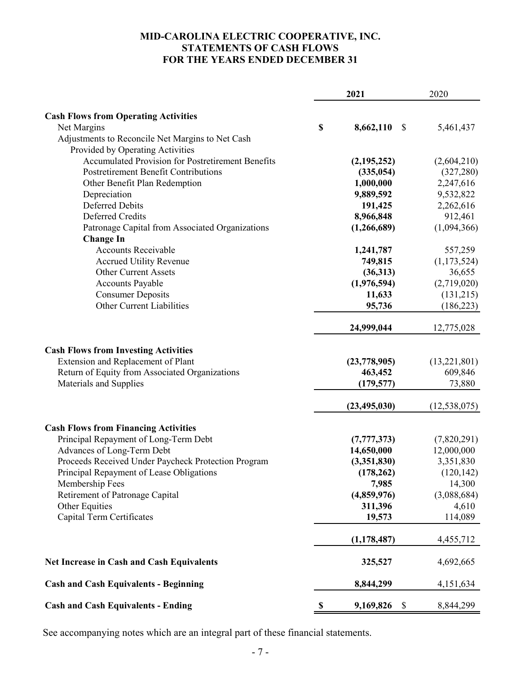## **MID-CAROLINA ELECTRIC COOPERATIVE, INC. STATEMENTS OF CASH FLOWS FOR THE YEARS ENDED DECEMBER 31**

|                                                                          |    | 2021                      | 2020           |
|--------------------------------------------------------------------------|----|---------------------------|----------------|
|                                                                          |    |                           |                |
| <b>Cash Flows from Operating Activities</b><br>Net Margins               | \$ | 8,662,110<br>$\mathbb{S}$ | 5,461,437      |
| Adjustments to Reconcile Net Margins to Net Cash                         |    |                           |                |
| Provided by Operating Activities                                         |    |                           |                |
| <b>Accumulated Provision for Postretirement Benefits</b>                 |    | (2, 195, 252)             | (2,604,210)    |
| <b>Postretirement Benefit Contributions</b>                              |    | (335, 054)                | (327, 280)     |
|                                                                          |    |                           |                |
| Other Benefit Plan Redemption                                            |    | 1,000,000                 | 2,247,616      |
| Depreciation<br><b>Deferred Debits</b>                                   |    | 9,889,592                 | 9,532,822      |
|                                                                          |    | 191,425                   | 2,262,616      |
| Deferred Credits                                                         |    | 8,966,848                 | 912,461        |
| Patronage Capital from Associated Organizations                          |    | (1,266,689)               | (1,094,366)    |
| <b>Change In</b>                                                         |    |                           |                |
| <b>Accounts Receivable</b>                                               |    | 1,241,787                 | 557,259        |
| <b>Accrued Utility Revenue</b>                                           |    | 749,815                   | (1,173,524)    |
| <b>Other Current Assets</b>                                              |    | (36,313)                  | 36,655         |
| Accounts Payable                                                         |    | (1,976,594)               | (2,719,020)    |
| <b>Consumer Deposits</b>                                                 |    | 11,633                    | (131,215)      |
| Other Current Liabilities                                                |    | 95,736                    | (186, 223)     |
|                                                                          |    | 24,999,044                | 12,775,028     |
| <b>Cash Flows from Investing Activities</b>                              |    |                           |                |
| Extension and Replacement of Plant                                       |    | (23,778,905)              | (13,221,801)   |
|                                                                          |    | 463,452                   | 609,846        |
| Return of Equity from Associated Organizations<br>Materials and Supplies |    | (179, 577)                | 73,880         |
|                                                                          |    |                           |                |
|                                                                          |    | (23, 495, 030)            | (12, 538, 075) |
| <b>Cash Flows from Financing Activities</b>                              |    |                           |                |
| Principal Repayment of Long-Term Debt                                    |    | (7, 777, 373)             | (7,820,291)    |
| Advances of Long-Term Debt                                               |    | 14,650,000                | 12,000,000     |
| Proceeds Received Under Paycheck Protection Program                      |    | (3,351,830)               | 3,351,830      |
| Principal Repayment of Lease Obligations                                 |    | (178, 262)                | (120, 142)     |
| Membership Fees                                                          |    | 7,985                     | 14,300         |
| Retirement of Patronage Capital                                          |    | (4,859,976)               | (3,088,684)    |
| Other Equities                                                           |    | 311,396                   | 4,610          |
| Capital Term Certificates                                                |    | 19,573                    | 114,089        |
|                                                                          |    | (1, 178, 487)             | 4,455,712      |
|                                                                          |    |                           |                |
| <b>Net Increase in Cash and Cash Equivalents</b>                         |    | 325,527                   | 4,692,665      |
| <b>Cash and Cash Equivalents - Beginning</b>                             |    | 8,844,299                 | 4,151,634      |
| <b>Cash and Cash Equivalents - Ending</b>                                | \$ | 9,169,826<br>\$           | 8,844,299      |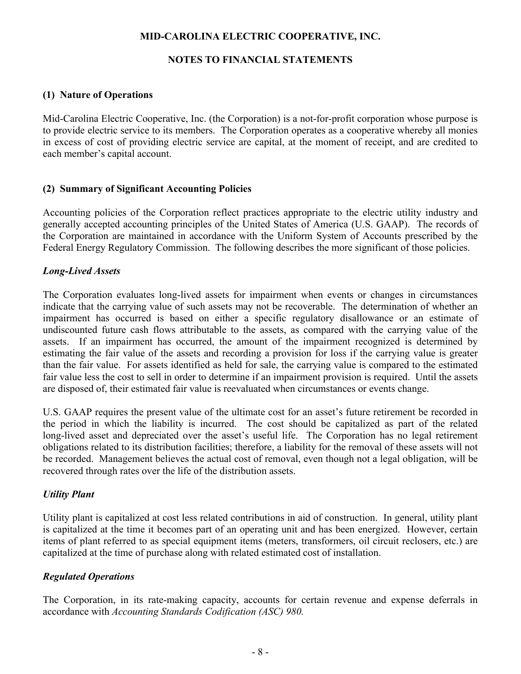## **MID-CAROLINA ELECTRIC COOPERATIVE, INC.**

## **NOTES TO FINANCIAL STATEMENTS**

#### **(1) Nature of Operations**

Mid-Carolina Electric Cooperative, Inc. (the Corporation) is a not-for-profit corporation whose purpose is to provide electric service to its members. The Corporation operates as a cooperative whereby all monies in excess of cost of providing electric service are capital, at the moment of receipt, and are credited to each member's capital account.

#### **(2) Summary of Significant Accounting Policies**

Accounting policies of the Corporation reflect practices appropriate to the electric utility industry and generally accepted accounting principles of the United States of America (U.S. GAAP). The records of the Corporation are maintained in accordance with the Uniform System of Accounts prescribed by the Federal Energy Regulatory Commission. The following describes the more significant of those policies.

#### *Long-Lived Assets*

The Corporation evaluates long-lived assets for impairment when events or changes in circumstances indicate that the carrying value of such assets may not be recoverable. The determination of whether an impairment has occurred is based on either a specific regulatory disallowance or an estimate of undiscounted future cash flows attributable to the assets, as compared with the carrying value of the assets. If an impairment has occurred, the amount of the impairment recognized is determined by estimating the fair value of the assets and recording a provision for loss if the carrying value is greater than the fair value. For assets identified as held for sale, the carrying value is compared to the estimated fair value less the cost to sell in order to determine if an impairment provision is required. Until the assets are disposed of, their estimated fair value is reevaluated when circumstances or events change.

U.S. GAAP requires the present value of the ultimate cost for an asset's future retirement be recorded in the period in which the liability is incurred. The cost should be capitalized as part of the related long-lived asset and depreciated over the asset's useful life. The Corporation has no legal retirement obligations related to its distribution facilities; therefore, a liability for the removal of these assets will not be recorded. Management believes the actual cost of removal, even though not a legal obligation, will be recovered through rates over the life of the distribution assets.

## *Utility Plant*

Utility plant is capitalized at cost less related contributions in aid of construction. In general, utility plant is capitalized at the time it becomes part of an operating unit and has been energized. However, certain items of plant referred to as special equipment items (meters, transformers, oil circuit reclosers, etc.) are capitalized at the time of purchase along with related estimated cost of installation.

## *Regulated Operations*

The Corporation, in its rate-making capacity, accounts for certain revenue and expense deferrals in accordance with *Accounting Standards Codification (ASC) 980.*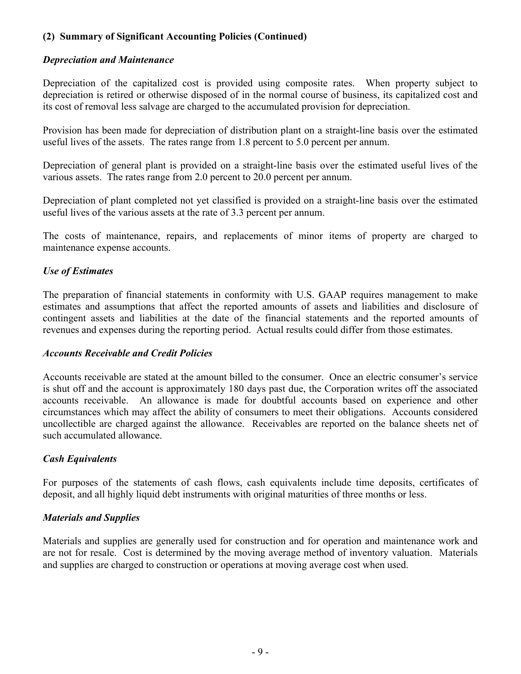## **(2) Summary of Significant Accounting Policies (Continued)**

## *Depreciation and Maintenance*

Depreciation of the capitalized cost is provided using composite rates. When property subject to depreciation is retired or otherwise disposed of in the normal course of business, its capitalized cost and its cost of removal less salvage are charged to the accumulated provision for depreciation.

Provision has been made for depreciation of distribution plant on a straight-line basis over the estimated useful lives of the assets. The rates range from 1.8 percent to 5.0 percent per annum.

Depreciation of general plant is provided on a straight-line basis over the estimated useful lives of the various assets. The rates range from 2.0 percent to 20.0 percent per annum.

Depreciation of plant completed not yet classified is provided on a straight-line basis over the estimated useful lives of the various assets at the rate of 3.3 percent per annum.

The costs of maintenance, repairs, and replacements of minor items of property are charged to maintenance expense accounts.

# *Use of Estimates*

The preparation of financial statements in conformity with U.S. GAAP requires management to make estimates and assumptions that affect the reported amounts of assets and liabilities and disclosure of contingent assets and liabilities at the date of the financial statements and the reported amounts of revenues and expenses during the reporting period. Actual results could differ from those estimates.

## *Accounts Receivable and Credit Policies*

Accounts receivable are stated at the amount billed to the consumer. Once an electric consumer's service is shut off and the account is approximately 180 days past due, the Corporation writes off the associated accounts receivable. An allowance is made for doubtful accounts based on experience and other circumstances which may affect the ability of consumers to meet their obligations. Accounts considered uncollectible are charged against the allowance. Receivables are reported on the balance sheets net of such accumulated allowance.

# *Cash Equivalents*

For purposes of the statements of cash flows, cash equivalents include time deposits, certificates of deposit, and all highly liquid debt instruments with original maturities of three months or less.

# *Materials and Supplies*

Materials and supplies are generally used for construction and for operation and maintenance work and are not for resale. Cost is determined by the moving average method of inventory valuation. Materials and supplies are charged to construction or operations at moving average cost when used.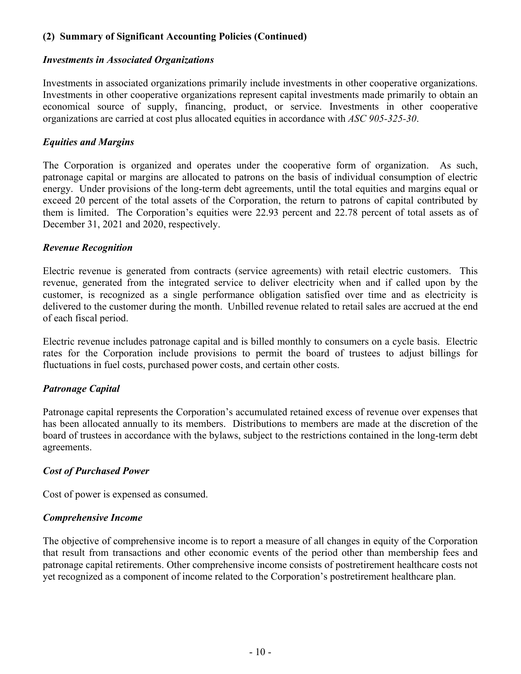## **(2) Summary of Significant Accounting Policies (Continued)**

#### *Investments in Associated Organizations*

Investments in associated organizations primarily include investments in other cooperative organizations. Investments in other cooperative organizations represent capital investments made primarily to obtain an economical source of supply, financing, product, or service. Investments in other cooperative organizations are carried at cost plus allocated equities in accordance with *ASC 905-325-30*.

#### *Equities and Margins*

The Corporation is organized and operates under the cooperative form of organization. As such, patronage capital or margins are allocated to patrons on the basis of individual consumption of electric energy. Under provisions of the long-term debt agreements, until the total equities and margins equal or exceed 20 percent of the total assets of the Corporation, the return to patrons of capital contributed by them is limited. The Corporation's equities were 22.93 percent and 22.78 percent of total assets as of December 31, 2021 and 2020, respectively.

#### *Revenue Recognition*

Electric revenue is generated from contracts (service agreements) with retail electric customers. This revenue, generated from the integrated service to deliver electricity when and if called upon by the customer, is recognized as a single performance obligation satisfied over time and as electricity is delivered to the customer during the month. Unbilled revenue related to retail sales are accrued at the end of each fiscal period.

Electric revenue includes patronage capital and is billed monthly to consumers on a cycle basis. Electric rates for the Corporation include provisions to permit the board of trustees to adjust billings for fluctuations in fuel costs, purchased power costs, and certain other costs.

## *Patronage Capital*

Patronage capital represents the Corporation's accumulated retained excess of revenue over expenses that has been allocated annually to its members. Distributions to members are made at the discretion of the board of trustees in accordance with the bylaws, subject to the restrictions contained in the long-term debt agreements.

#### *Cost of Purchased Power*

Cost of power is expensed as consumed.

## *Comprehensive Income*

The objective of comprehensive income is to report a measure of all changes in equity of the Corporation that result from transactions and other economic events of the period other than membership fees and patronage capital retirements. Other comprehensive income consists of postretirement healthcare costs not yet recognized as a component of income related to the Corporation's postretirement healthcare plan.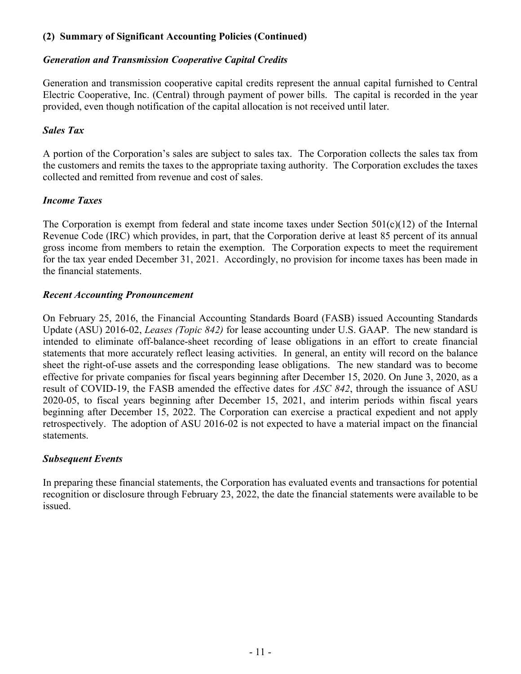## **(2) Summary of Significant Accounting Policies (Continued)**

## *Generation and Transmission Cooperative Capital Credits*

Generation and transmission cooperative capital credits represent the annual capital furnished to Central Electric Cooperative, Inc. (Central) through payment of power bills. The capital is recorded in the year provided, even though notification of the capital allocation is not received until later.

## *Sales Tax*

A portion of the Corporation's sales are subject to sales tax. The Corporation collects the sales tax from the customers and remits the taxes to the appropriate taxing authority. The Corporation excludes the taxes collected and remitted from revenue and cost of sales.

## *Income Taxes*

The Corporation is exempt from federal and state income taxes under Section  $501(c)(12)$  of the Internal Revenue Code (IRC) which provides, in part, that the Corporation derive at least 85 percent of its annual gross income from members to retain the exemption. The Corporation expects to meet the requirement for the tax year ended December 31, 2021. Accordingly, no provision for income taxes has been made in the financial statements.

## *Recent Accounting Pronouncement*

On February 25, 2016, the Financial Accounting Standards Board (FASB) issued Accounting Standards Update (ASU) 2016-02, *Leases (Topic 842)* for lease accounting under U.S. GAAP. The new standard is intended to eliminate off-balance-sheet recording of lease obligations in an effort to create financial statements that more accurately reflect leasing activities. In general, an entity will record on the balance sheet the right-of-use assets and the corresponding lease obligations. The new standard was to become effective for private companies for fiscal years beginning after December 15, 2020. On June 3, 2020, as a result of COVID-19, the FASB amended the effective dates for *ASC 842*, through the issuance of ASU 2020-05, to fiscal years beginning after December 15, 2021, and interim periods within fiscal years beginning after December 15, 2022. The Corporation can exercise a practical expedient and not apply retrospectively. The adoption of ASU 2016-02 is not expected to have a material impact on the financial statements.

# *Subsequent Events*

In preparing these financial statements, the Corporation has evaluated events and transactions for potential recognition or disclosure through February 23, 2022, the date the financial statements were available to be issued.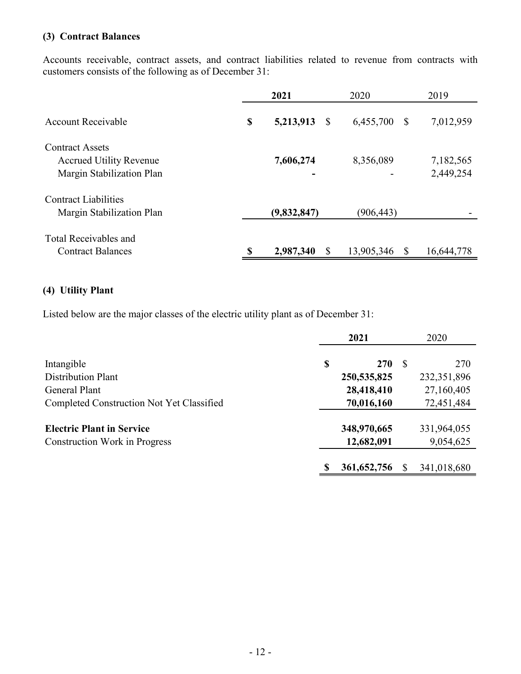## **(3) Contract Balances**

Accounts receivable, contract assets, and contract liabilities related to revenue from contracts with customers consists of the following as of December 31:

|                                | 2021                 | 2020           | 2019       |
|--------------------------------|----------------------|----------------|------------|
| Account Receivable             | \$<br>5,213,913<br>S | 6,455,700<br>S | 7,012,959  |
| <b>Contract Assets</b>         |                      |                |            |
| <b>Accrued Utility Revenue</b> | 7,606,274            | 8,356,089      | 7,182,565  |
| Margin Stabilization Plan      |                      |                | 2,449,254  |
| <b>Contract Liabilities</b>    |                      |                |            |
| Margin Stabilization Plan      | (9,832,847)          | (906, 443)     |            |
| Total Receivables and          |                      |                |            |
| <b>Contract Balances</b>       | \$<br>2,987,340      | 13,905,346     | 16,644,778 |

## **(4) Utility Plant**

Listed below are the major classes of the electric utility plant as of December 31:

|                                           | 2021 |               |    | 2020          |
|-------------------------------------------|------|---------------|----|---------------|
| Intangible                                | \$   | <b>270</b>    | -S | 270           |
| <b>Distribution Plant</b>                 |      | 250, 535, 825 |    | 232, 351, 896 |
| General Plant                             |      | 28,418,410    |    | 27,160,405    |
| Completed Construction Not Yet Classified |      | 70,016,160    |    | 72,451,484    |
| <b>Electric Plant in Service</b>          |      | 348,970,665   |    | 331,964,055   |
| <b>Construction Work in Progress</b>      |      | 12,682,091    |    | 9,054,625     |
|                                           |      | 361, 652, 756 |    | 341,018,680   |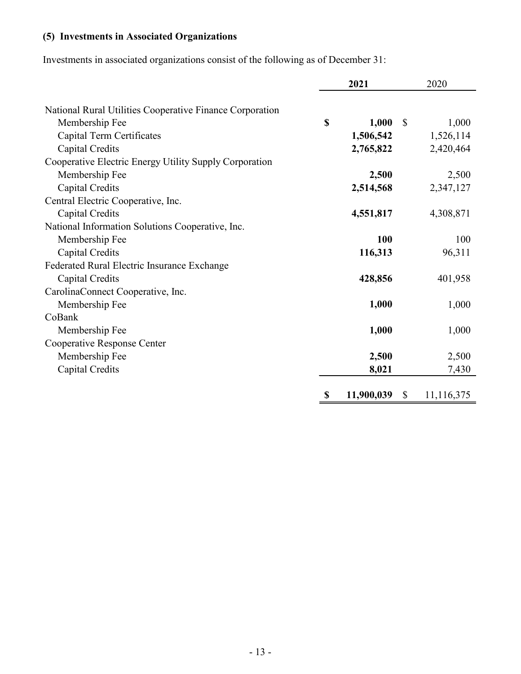# **(5) Investments in Associated Organizations**

Investments in associated organizations consist of the following as of December 31:

|                                                          | 2021        |            | 2020                       |  |
|----------------------------------------------------------|-------------|------------|----------------------------|--|
| National Rural Utilities Cooperative Finance Corporation |             |            |                            |  |
| Membership Fee                                           | $\mathbf S$ | 1,000      | $\mathbb{S}$<br>1,000      |  |
| Capital Term Certificates                                |             | 1,506,542  | 1,526,114                  |  |
| Capital Credits                                          |             | 2,765,822  | 2,420,464                  |  |
| Cooperative Electric Energy Utility Supply Corporation   |             |            |                            |  |
|                                                          |             | 2,500      |                            |  |
| Membership Fee                                           |             |            | 2,500                      |  |
| Capital Credits                                          |             | 2,514,568  | 2,347,127                  |  |
| Central Electric Cooperative, Inc.                       |             |            |                            |  |
| Capital Credits                                          |             | 4,551,817  | 4,308,871                  |  |
| National Information Solutions Cooperative, Inc.         |             |            |                            |  |
| Membership Fee                                           |             | 100        | 100                        |  |
| Capital Credits                                          |             | 116,313    | 96,311                     |  |
| Federated Rural Electric Insurance Exchange              |             |            |                            |  |
| Capital Credits                                          |             | 428,856    | 401,958                    |  |
| CarolinaConnect Cooperative, Inc.                        |             |            |                            |  |
| Membership Fee                                           |             | 1,000      | 1,000                      |  |
| CoBank                                                   |             |            |                            |  |
| Membership Fee                                           |             | 1,000      | 1,000                      |  |
| Cooperative Response Center                              |             |            |                            |  |
| Membership Fee                                           |             | 2,500      | 2,500                      |  |
|                                                          |             |            |                            |  |
| Capital Credits                                          |             | 8,021      | 7,430                      |  |
|                                                          | \$          | 11,900,039 | $\mathbb{S}$<br>11,116,375 |  |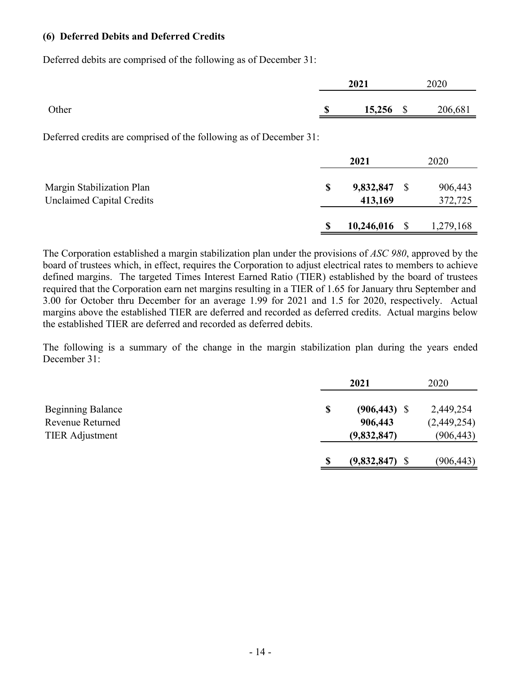#### **(6) Deferred Debits and Deferred Credits**

Deferred debits are comprised of the following as of December 31:

|       | 2021              | 2020    |
|-------|-------------------|---------|
| Other | \$<br>$15,256$ \$ | 206,681 |

Deferred credits are comprised of the following as of December 31:

|                                                               | 2021                       |     | 2020               |
|---------------------------------------------------------------|----------------------------|-----|--------------------|
| Margin Stabilization Plan<br><b>Unclaimed Capital Credits</b> | \$<br>9,832,847<br>413,169 | - S | 906,443<br>372,725 |
|                                                               | 10,246,016                 |     | 1,279,168          |

The Corporation established a margin stabilization plan under the provisions of *ASC 980*, approved by the board of trustees which, in effect, requires the Corporation to adjust electrical rates to members to achieve defined margins. The targeted Times Interest Earned Ratio (TIER) established by the board of trustees required that the Corporation earn net margins resulting in a TIER of 1.65 for January thru September and 3.00 for October thru December for an average 1.99 for 2021 and 1.5 for 2020, respectively. Actual margins above the established TIER are deferred and recorded as deferred credits. Actual margins below the established TIER are deferred and recorded as deferred debits.

The following is a summary of the change in the margin stabilization plan during the years ended December 31:

|                                                                        | 2021                                            | 2020                                   |
|------------------------------------------------------------------------|-------------------------------------------------|----------------------------------------|
| <b>Beginning Balance</b><br>Revenue Returned<br><b>TIER</b> Adjustment | \$<br>$(906, 443)$ \$<br>906,443<br>(9,832,847) | 2,449,254<br>(2,449,254)<br>(906, 443) |
|                                                                        | (9,832,847)                                     | (906, 443)                             |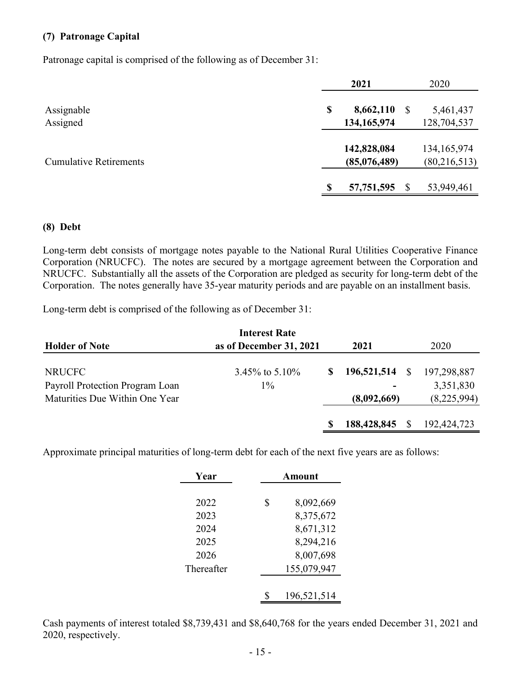#### **(7) Patronage Capital**

Patronage capital is comprised of the following as of December 31:

|                               | 2021                           | 2020                            |  |
|-------------------------------|--------------------------------|---------------------------------|--|
| Assignable<br>Assigned        | 8,662,110<br>\$<br>134,165,974 | 5,461,437<br>128,704,537        |  |
| <b>Cumulative Retirements</b> | 142,828,084<br>(85,076,489)    | 134, 165, 974<br>(80, 216, 513) |  |
|                               | 57,751,595                     | 53,949,461                      |  |

#### **(8) Debt**

Long-term debt consists of mortgage notes payable to the National Rural Utilities Cooperative Finance Corporation (NRUCFC). The notes are secured by a mortgage agreement between the Corporation and NRUCFC. Substantially all the assets of the Corporation are pledged as security for long-term debt of the Corporation. The notes generally have 35-year maturity periods and are payable on an installment basis.

Long-term debt is comprised of the following as of December 31:

|                                 | <b>Interest Rate</b>    |             |    |               |
|---------------------------------|-------------------------|-------------|----|---------------|
| <b>Holder of Note</b>           | as of December 31, 2021 | 2021        |    | 2020          |
|                                 |                         |             |    |               |
| <b>NRUCFC</b>                   | $3.45\%$ to $5.10\%$    | 196,521,514 | -S | 197,298,887   |
| Payroll Protection Program Loan | $1\%$                   |             |    | 3,351,830     |
| Maturities Due Within One Year  |                         | (8,092,669) |    | (8,225,994)   |
|                                 |                         | 188,428,845 |    | 192, 424, 723 |

Approximate principal maturities of long-term debt for each of the next five years are as follows:

| Year       | Amount          |  |  |  |
|------------|-----------------|--|--|--|
|            |                 |  |  |  |
| 2022       | \$<br>8,092,669 |  |  |  |
| 2023       | 8,375,672       |  |  |  |
| 2024       | 8,671,312       |  |  |  |
| 2025       | 8,294,216       |  |  |  |
| 2026       | 8,007,698       |  |  |  |
| Thereafter | 155,079,947     |  |  |  |
|            |                 |  |  |  |
|            | 196,521,514     |  |  |  |

Cash payments of interest totaled \$8,739,431 and \$8,640,768 for the years ended December 31, 2021 and 2020, respectively.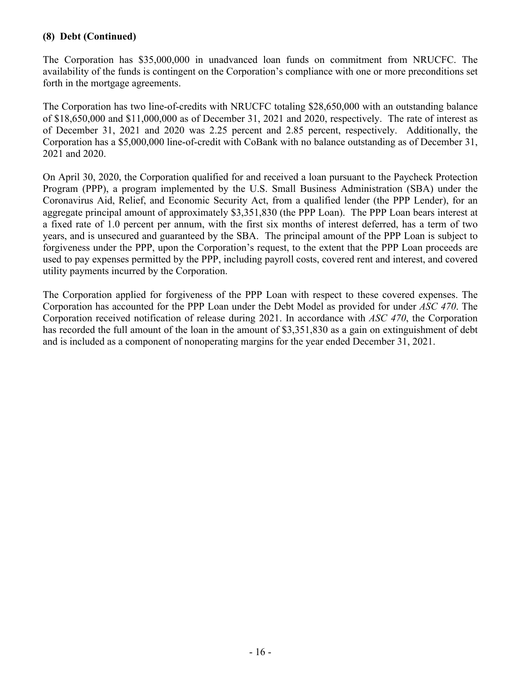## **(8) Debt (Continued)**

The Corporation has \$35,000,000 in unadvanced loan funds on commitment from NRUCFC. The availability of the funds is contingent on the Corporation's compliance with one or more preconditions set forth in the mortgage agreements.

The Corporation has two line-of-credits with NRUCFC totaling \$28,650,000 with an outstanding balance of \$18,650,000 and \$11,000,000 as of December 31, 2021 and 2020, respectively. The rate of interest as of December 31, 2021 and 2020 was 2.25 percent and 2.85 percent, respectively. Additionally, the Corporation has a \$5,000,000 line-of-credit with CoBank with no balance outstanding as of December 31, 2021 and 2020.

On April 30, 2020, the Corporation qualified for and received a loan pursuant to the Paycheck Protection Program (PPP), a program implemented by the U.S. Small Business Administration (SBA) under the Coronavirus Aid, Relief, and Economic Security Act, from a qualified lender (the PPP Lender), for an aggregate principal amount of approximately \$3,351,830 (the PPP Loan). The PPP Loan bears interest at a fixed rate of 1.0 percent per annum, with the first six months of interest deferred, has a term of two years, and is unsecured and guaranteed by the SBA. The principal amount of the PPP Loan is subject to forgiveness under the PPP, upon the Corporation's request, to the extent that the PPP Loan proceeds are used to pay expenses permitted by the PPP, including payroll costs, covered rent and interest, and covered utility payments incurred by the Corporation.

The Corporation applied for forgiveness of the PPP Loan with respect to these covered expenses. The Corporation has accounted for the PPP Loan under the Debt Model as provided for under *ASC 470*. The Corporation received notification of release during 2021. In accordance with *ASC 470*, the Corporation has recorded the full amount of the loan in the amount of \$3,351,830 as a gain on extinguishment of debt and is included as a component of nonoperating margins for the year ended December 31, 2021.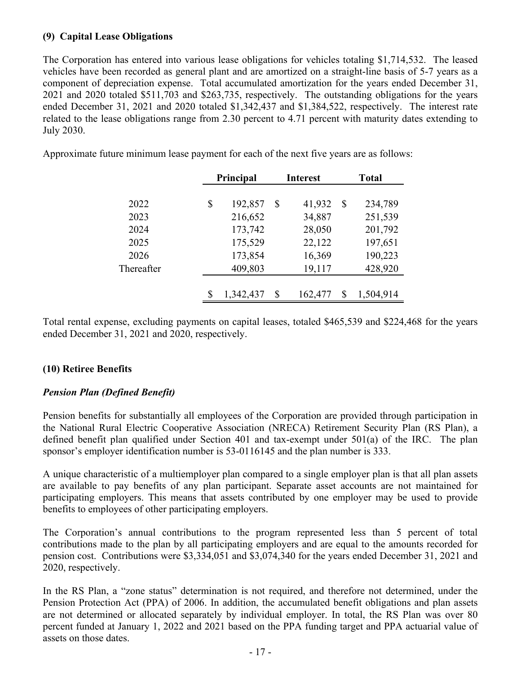#### **(9) Capital Lease Obligations**

The Corporation has entered into various lease obligations for vehicles totaling \$1,714,532. The leased vehicles have been recorded as general plant and are amortized on a straight-line basis of 5-7 years as a component of depreciation expense. Total accumulated amortization for the years ended December 31, 2021 and 2020 totaled \$511,703 and \$263,735, respectively. The outstanding obligations for the years ended December 31, 2021 and 2020 totaled \$1,342,437 and \$1,384,522, respectively. The interest rate related to the lease obligations range from 2.30 percent to 4.71 percent with maturity dates extending to July 2030.

Approximate future minimum lease payment for each of the next five years are as follows:

|            | Principal |           |    | <b>Interest</b> |    | <b>Total</b> |  |
|------------|-----------|-----------|----|-----------------|----|--------------|--|
|            |           |           |    |                 |    |              |  |
| 2022       | \$        | 192,857   | \$ | 41,932          | \$ | 234,789      |  |
| 2023       |           | 216,652   |    | 34,887          |    | 251,539      |  |
| 2024       |           | 173,742   |    | 28,050          |    | 201,792      |  |
| 2025       |           | 175,529   |    | 22,122          |    | 197,651      |  |
| 2026       |           | 173,854   |    | 16,369          |    | 190,223      |  |
| Thereafter |           | 409,803   |    | 19,117          |    | 428,920      |  |
|            |           |           |    |                 |    |              |  |
|            |           | 1,342,437 | S  | 162,477         | S  | 1,504,914    |  |

Total rental expense, excluding payments on capital leases, totaled \$465,539 and \$224,468 for the years ended December 31, 2021 and 2020, respectively.

## **(10) Retiree Benefits**

## *Pension Plan (Defined Benefit)*

Pension benefits for substantially all employees of the Corporation are provided through participation in the National Rural Electric Cooperative Association (NRECA) Retirement Security Plan (RS Plan), a defined benefit plan qualified under Section 401 and tax-exempt under 501(a) of the IRC. The plan sponsor's employer identification number is 53-0116145 and the plan number is 333.

A unique characteristic of a multiemployer plan compared to a single employer plan is that all plan assets are available to pay benefits of any plan participant. Separate asset accounts are not maintained for participating employers. This means that assets contributed by one employer may be used to provide benefits to employees of other participating employers.

The Corporation's annual contributions to the program represented less than 5 percent of total contributions made to the plan by all participating employers and are equal to the amounts recorded for pension cost. Contributions were \$3,334,051 and \$3,074,340 for the years ended December 31, 2021 and 2020, respectively.

In the RS Plan, a "zone status" determination is not required, and therefore not determined, under the Pension Protection Act (PPA) of 2006. In addition, the accumulated benefit obligations and plan assets are not determined or allocated separately by individual employer. In total, the RS Plan was over 80 percent funded at January 1, 2022 and 2021 based on the PPA funding target and PPA actuarial value of assets on those dates.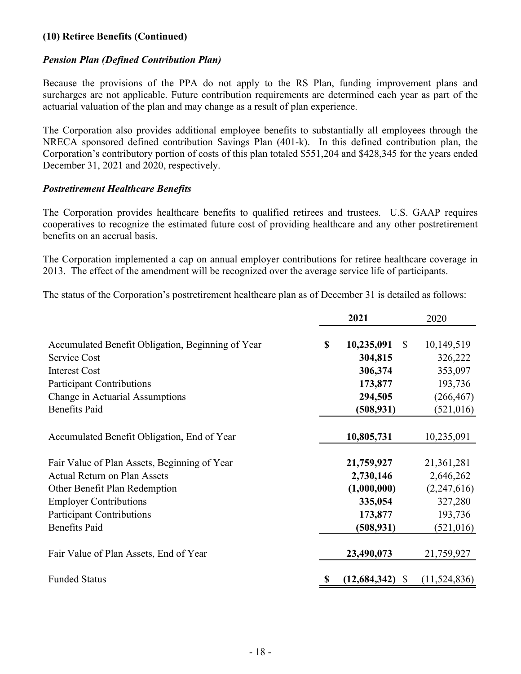#### **(10) Retiree Benefits (Continued)**

#### *Pension Plan (Defined Contribution Plan)*

Because the provisions of the PPA do not apply to the RS Plan, funding improvement plans and surcharges are not applicable. Future contribution requirements are determined each year as part of the actuarial valuation of the plan and may change as a result of plan experience.

The Corporation also provides additional employee benefits to substantially all employees through the NRECA sponsored defined contribution Savings Plan (401-k). In this defined contribution plan, the Corporation's contributory portion of costs of this plan totaled \$551,204 and \$428,345 for the years ended December 31, 2021 and 2020, respectively.

#### *Postretirement Healthcare Benefits*

The Corporation provides healthcare benefits to qualified retirees and trustees. U.S. GAAP requires cooperatives to recognize the estimated future cost of providing healthcare and any other postretirement benefits on an accrual basis.

The Corporation implemented a cap on annual employer contributions for retiree healthcare coverage in 2013. The effect of the amendment will be recognized over the average service life of participants.

The status of the Corporation's postretirement healthcare plan as of December 31 is detailed as follows:

|                                                                                                                                                                                                                                                             | 2021 |                                                                                          | 2020                                                                                     |  |
|-------------------------------------------------------------------------------------------------------------------------------------------------------------------------------------------------------------------------------------------------------------|------|------------------------------------------------------------------------------------------|------------------------------------------------------------------------------------------|--|
| Accumulated Benefit Obligation, Beginning of Year<br>Service Cost<br><b>Interest Cost</b><br><b>Participant Contributions</b><br>Change in Actuarial Assumptions<br><b>Benefits Paid</b>                                                                    | \$   | 10,235,091<br>$\mathbb{S}$<br>304,815<br>306,374<br>173,877<br>294,505<br>(508, 931)     | 10,149,519<br>326,222<br>353,097<br>193,736<br>(266, 467)<br>(521, 016)                  |  |
| Accumulated Benefit Obligation, End of Year                                                                                                                                                                                                                 |      | 10,805,731                                                                               | 10,235,091                                                                               |  |
| Fair Value of Plan Assets, Beginning of Year<br><b>Actual Return on Plan Assets</b><br>Other Benefit Plan Redemption<br><b>Employer Contributions</b><br><b>Participant Contributions</b><br><b>Benefits Paid</b><br>Fair Value of Plan Assets, End of Year |      | 21,759,927<br>2,730,146<br>(1,000,000)<br>335,054<br>173,877<br>(508, 931)<br>23,490,073 | 21,361,281<br>2,646,262<br>(2,247,616)<br>327,280<br>193,736<br>(521, 016)<br>21,759,927 |  |
| <b>Funded Status</b>                                                                                                                                                                                                                                        |      | (12, 684, 342)<br><sup>S</sup>                                                           | (11, 524, 836)                                                                           |  |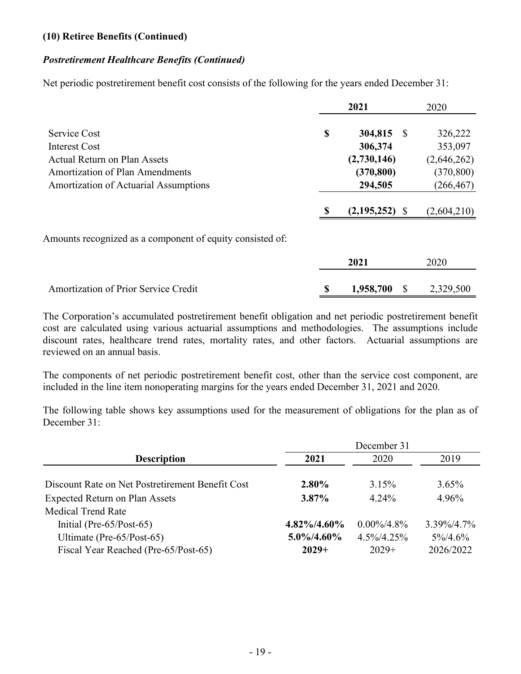#### **(10) Retiree Benefits (Continued)**

#### *Postretirement Healthcare Benefits (Continued)*

Net periodic postretirement benefit cost consists of the following for the years ended December 31:

|                                                           |    | 2021              | 2020        |
|-----------------------------------------------------------|----|-------------------|-------------|
| Service Cost                                              | \$ | 304,815 \$        | 326,222     |
| Interest Cost                                             |    | 306,374           | 353,097     |
| <b>Actual Return on Plan Assets</b>                       |    | (2,730,146)       | (2,646,262) |
| <b>Amortization of Plan Amendments</b>                    |    | (370, 800)        | (370, 800)  |
| Amortization of Actuarial Assumptions                     |    | 294,505           | (266, 467)  |
|                                                           |    | (2,195,252)<br>-S | (2,604,210) |
| Amounts recognized as a component of equity consisted of: |    |                   |             |
|                                                           |    | 2021              | 2020        |
| <b>Amortization of Prior Service Credit</b>               | S  | 1,958,700         | 2,329,500   |

The Corporation's accumulated postretirement benefit obligation and net periodic postretirement benefit cost are calculated using various actuarial assumptions and methodologies. The assumptions include discount rates, healthcare trend rates, mortality rates, and other factors. Actuarial assumptions are reviewed on an annual basis.

The components of net periodic postretirement benefit cost, other than the service cost component, are included in the line item nonoperating margins for the years ended December 31, 2021 and 2020.

The following table shows key assumptions used for the measurement of obligations for the plan as of December 31:

|                                                  | December 31     |                |                |  |
|--------------------------------------------------|-----------------|----------------|----------------|--|
| <b>Description</b>                               | 2021            | 2020           | 2019           |  |
|                                                  |                 |                |                |  |
| Discount Rate on Net Postretirement Benefit Cost | 2.80%           | 3.15%          | $3.65\%$       |  |
| <b>Expected Return on Plan Assets</b>            | $3.87\%$        | $4.24\%$       | 4.96%          |  |
| <b>Medical Trend Rate</b>                        |                 |                |                |  |
| Initial (Pre- $65/Post-65$ )                     | $4.82\%/4.60\%$ | $0.00\%/4.8\%$ | $3.39\%/4.7\%$ |  |
| Ultimate (Pre-65/Post-65)                        | $5.0\%/4.60\%$  | $4.5\%/4.25\%$ | $5\%/4.6\%$    |  |
| Fiscal Year Reached (Pre-65/Post-65)             | $2029+$         | $2029+$        | 2026/2022      |  |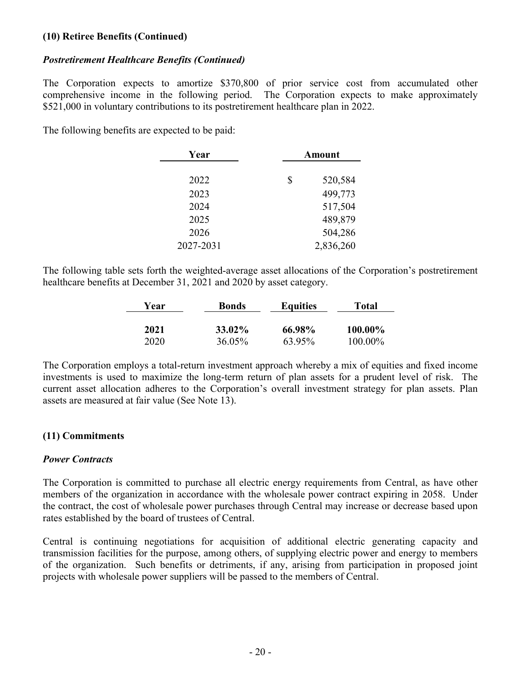#### **(10) Retiree Benefits (Continued)**

#### *Postretirement Healthcare Benefits (Continued)*

The Corporation expects to amortize \$370,800 of prior service cost from accumulated other comprehensive income in the following period. The Corporation expects to make approximately \$521,000 in voluntary contributions to its postretirement healthcare plan in 2022.

The following benefits are expected to be paid:

| Year      | <b>Amount</b> |  |
|-----------|---------------|--|
|           |               |  |
| 2022      | \$<br>520,584 |  |
| 2023      | 499,773       |  |
| 2024      | 517,504       |  |
| 2025      | 489,879       |  |
| 2026      | 504,286       |  |
| 2027-2031 | 2,836,260     |  |
|           |               |  |

The following table sets forth the weighted-average asset allocations of the Corporation's postretirement healthcare benefits at December 31, 2021 and 2020 by asset category.

| Year | <b>Bonds</b>  | <b>Equities</b> | Total   |
|------|---------------|-----------------|---------|
| 2021 | <b>33.02%</b> | 66.98%          | 100.00% |
| 2020 | 36.05%        | 63.95%          | 100.00% |

The Corporation employs a total-return investment approach whereby a mix of equities and fixed income investments is used to maximize the long-term return of plan assets for a prudent level of risk. The current asset allocation adheres to the Corporation's overall investment strategy for plan assets. Plan assets are measured at fair value (See Note 13).

## **(11) Commitments**

## *Power Contracts*

The Corporation is committed to purchase all electric energy requirements from Central, as have other members of the organization in accordance with the wholesale power contract expiring in 2058. Under the contract, the cost of wholesale power purchases through Central may increase or decrease based upon rates established by the board of trustees of Central.

Central is continuing negotiations for acquisition of additional electric generating capacity and transmission facilities for the purpose, among others, of supplying electric power and energy to members of the organization. Such benefits or detriments, if any, arising from participation in proposed joint projects with wholesale power suppliers will be passed to the members of Central.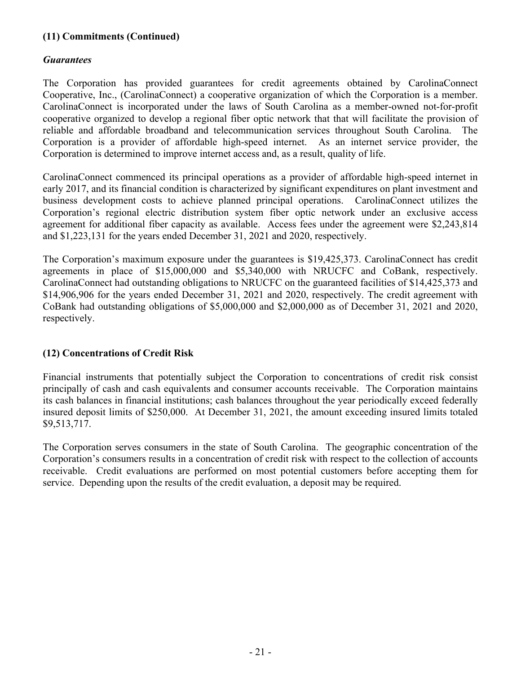## **(11) Commitments (Continued)**

#### *Guarantees*

The Corporation has provided guarantees for credit agreements obtained by CarolinaConnect Cooperative, Inc., (CarolinaConnect) a cooperative organization of which the Corporation is a member. CarolinaConnect is incorporated under the laws of South Carolina as a member-owned not-for-profit cooperative organized to develop a regional fiber optic network that that will facilitate the provision of reliable and affordable broadband and telecommunication services throughout South Carolina. The Corporation is a provider of affordable high-speed internet. As an internet service provider, the Corporation is determined to improve internet access and, as a result, quality of life.

CarolinaConnect commenced its principal operations as a provider of affordable high-speed internet in early 2017, and its financial condition is characterized by significant expenditures on plant investment and business development costs to achieve planned principal operations. CarolinaConnect utilizes the Corporation's regional electric distribution system fiber optic network under an exclusive access agreement for additional fiber capacity as available. Access fees under the agreement were \$2,243,814 and \$1,223,131 for the years ended December 31, 2021 and 2020, respectively.

The Corporation's maximum exposure under the guarantees is \$19,425,373. CarolinaConnect has credit agreements in place of \$15,000,000 and \$5,340,000 with NRUCFC and CoBank, respectively. CarolinaConnect had outstanding obligations to NRUCFC on the guaranteed facilities of \$14,425,373 and \$14,906,906 for the years ended December 31, 2021 and 2020, respectively. The credit agreement with CoBank had outstanding obligations of \$5,000,000 and \$2,000,000 as of December 31, 2021 and 2020, respectively.

## **(12) Concentrations of Credit Risk**

Financial instruments that potentially subject the Corporation to concentrations of credit risk consist principally of cash and cash equivalents and consumer accounts receivable. The Corporation maintains its cash balances in financial institutions; cash balances throughout the year periodically exceed federally insured deposit limits of \$250,000. At December 31, 2021, the amount exceeding insured limits totaled \$9,513,717.

The Corporation serves consumers in the state of South Carolina. The geographic concentration of the Corporation's consumers results in a concentration of credit risk with respect to the collection of accounts receivable. Credit evaluations are performed on most potential customers before accepting them for service. Depending upon the results of the credit evaluation, a deposit may be required.